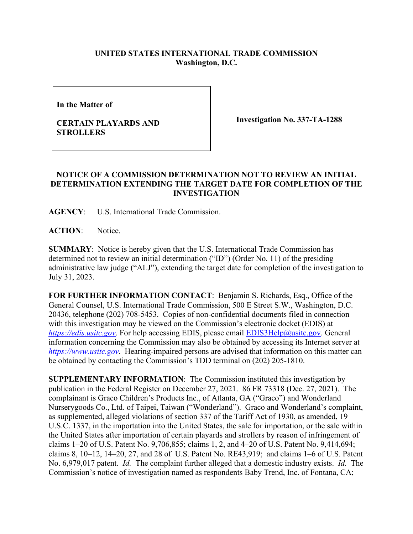## **UNITED STATES INTERNATIONAL TRADE COMMISSION Washington, D.C.**

**In the Matter of** 

## **CERTAIN PLAYARDS AND STROLLERS**

**Investigation No. 337-TA-1288**

## **NOTICE OF A COMMISSION DETERMINATION NOT TO REVIEW AN INITIAL DETERMINATION EXTENDING THE TARGET DATE FOR COMPLETION OF THE INVESTIGATION**

**AGENCY**: U.S. International Trade Commission.

**ACTION**: Notice.

**SUMMARY**: Notice is hereby given that the U.S. International Trade Commission has determined not to review an initial determination ("ID") (Order No. 11) of the presiding administrative law judge ("ALJ"), extending the target date for completion of the investigation to July 31, 2023.

**FOR FURTHER INFORMATION CONTACT**: Benjamin S. Richards, Esq., Office of the General Counsel, U.S. International Trade Commission, 500 E Street S.W., Washington, D.C. 20436, telephone (202) 708-5453. Copies of non-confidential documents filed in connection with this investigation may be viewed on the Commission's electronic docket (EDIS) at *[https://edis.usitc.gov](https://edis.usitc.gov/)*. For help accessing EDIS, please email [EDIS3Help@usitc.gov.](mailto:EDIS3Help@usitc.gov) General information concerning the Commission may also be obtained by accessing its Internet server at *[https://www.usitc.gov](https://www.usitc.gov/)*. Hearing-impaired persons are advised that information on this matter can be obtained by contacting the Commission's TDD terminal on (202) 205-1810.

**SUPPLEMENTARY INFORMATION**: The Commission instituted this investigation by publication in the Federal Register on December 27, 2021. 86 FR 73318 (Dec. 27, 2021). The complainant is Graco Children's Products Inc., of Atlanta, GA ("Graco") and Wonderland Nurserygoods Co., Ltd. of Taipei, Taiwan ("Wonderland"). Graco and Wonderland's complaint, as supplemented, alleged violations of section 337 of the Tariff Act of 1930, as amended, 19 U.S.C. 1337, in the importation into the United States, the sale for importation, or the sale within the United States after importation of certain playards and strollers by reason of infringement of claims 1–20 of U.S. Patent No. 9,706,855; claims 1, 2, and 4–20 of U.S. Patent No. 9,414,694; claims 8, 10–12, 14–20, 27, and 28 of U.S. Patent No. RE43,919; and claims 1–6 of U.S. Patent No. 6,979,017 patent. *Id.* The complaint further alleged that a domestic industry exists. *Id.* The Commission's notice of investigation named as respondents Baby Trend, Inc. of Fontana, CA;